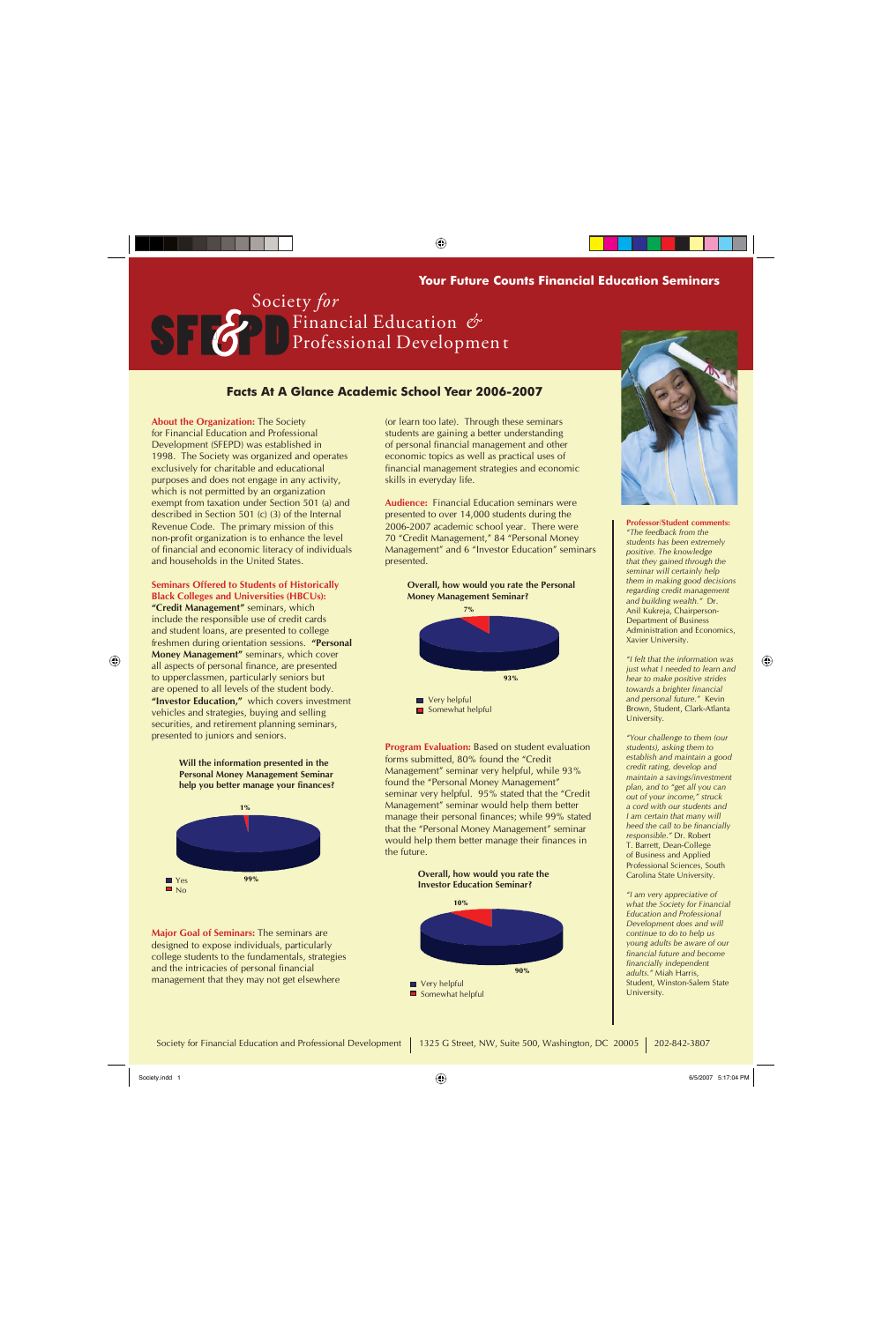(or learn too late). Through these seminars students are gaining a better understanding of personal financial management and other economic topics as well as practical uses of financial management strategies and economic skills in everyday life.

**Audience:** Financial Education seminars were presented to over 14,000 students during the 2006-2007 academic school year. There were 70 "Credit Management," 84 "Personal Money Management" and 6 "Investor Education" seminars presented.

**Program Evaluation:** Based on student evaluation forms submitted, 80% found the "Credit Management" seminar very helpful, while 93% found the "Personal Money Management" seminar very helpful. 95% stated that the "Credit Management" seminar would help them better manage their personal finances; while 99% stated that the "Personal Money Management" seminar would help them better manage their finances in the future.

**About the Organization:** The Society for Financial Education and Professional Development (SFEPD) was established in 1998. The Society was organized and operates exclusively for charitable and educational purposes and does not engage in any activity, which is not permitted by an organization exempt from taxation under Section 501 (a) and described in Section 501 (c) (3) of the Internal Revenue Code. The primary mission of this non-profit organization is to enhance the level of financial and economic literacy of individuals and households in the United States.

**Seminars Offered to Students of Historically Black Colleges and Universities (HBCUs): "Credit Management"** seminars, which include the responsible use of credit cards and student loans, are presented to college freshmen during orientation sessions. **"Personal Money Management"** seminars, which cover all aspects of personal finance, are presented to upperclassmen, particularly seniors but are opened to all levels of the student body. **"Investor Education,"** which covers investment vehicles and strategies, buying and selling securities, and retirement planning seminars, presented to juniors and seniors.

**Professor/Student comments:**  *"The feedback from the students has been extremely positive. The knowledge that they gained through the seminar will certainly help them in making good decisions regarding credit management and building wealth."* Dr. Anil Kukreja, Chairperson-Department of Business Administration and Economics, Xavier University.

*"I felt that the information was just what I needed to learn and hear to make positive strides towards a brighter financial and personal future."* Kevin Brown, Student, Clark-Atlanta University.

⊕

*"Your challenge to them (our students), asking them to establish and maintain a good credit rating, develop and maintain a savings/investment plan, and to "get all you can out of your income," struck a cord with our students and I am certain that many will heed the call to be financially responsible."* Dr. Robert T. Barrett, Dean-College of Business and Applied Professional Sciences, South Carolina State University.



*"I am very appreciative of what the Society for Financial Education and Professional* 

⊕

## **Facts At A Glance Academic School Year 2006-2007**

Society *for*  Financial Education *&* Professional Developmen t

 $\bigoplus$ 

## **Your Future Counts Financial Education Seminars**



**Will the information presented in the Personal Money Management Seminar help you better manage your finances?** 





**Overall, how would you rate the Investor Education Seminar?**